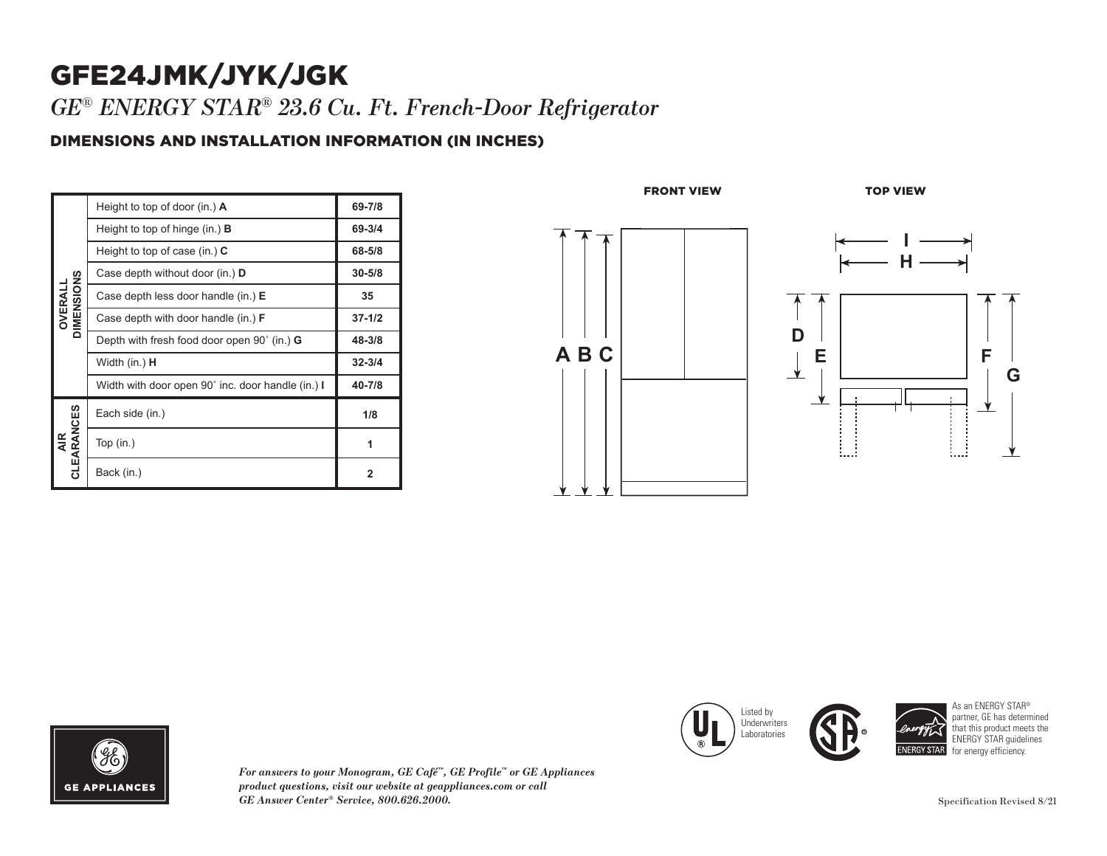## GFE24JMK/JYK/JGK

*GE* ® *ENERGY STAR ® 23.6 Cu. Ft. French-Door Refrigerator*

## DIMENSIONS AND INSTALLATION INFORMATION (IN INCHES)

| DIMENSIONS<br>OVERALL    | Height to top of door (in.) $\bf{A}$               | 69-7/8     |
|--------------------------|----------------------------------------------------|------------|
|                          | Height to top of hinge (in.) <b>B</b>              | 69-3/4     |
|                          | Height to top of case (in.) $C$                    | 68-5/8     |
|                          | Case depth without door (in.) D                    | $30 - 5/8$ |
|                          | Case depth less door handle (in.) E                | 35         |
|                          | Case depth with door handle (in.) $F$              | $37 - 1/2$ |
|                          | Depth with fresh food door open 90° (in.) <b>G</b> | 48-3/8     |
|                          | Width (in.) <b>H</b>                               | $32 - 3/4$ |
|                          | Width with door open 90° inc. door handle (in.) I  | 40-7/8     |
| CLEARANCES<br><b>AIR</b> | Each side (in.)                                    | 1/8        |
|                          | Top $(in.)$                                        | 1          |
|                          | Back (in.)                                         | 2          |







*For answers to your Monogram, GE Café ™, GE Profile ™ or GE Appliances product questions, visit our website at geappliances.com or call GE Answer Center*





As an ENERGY STAR ® partner, GE has determined that this product meets the ENERGY STAR guidelines for energy efficiency.